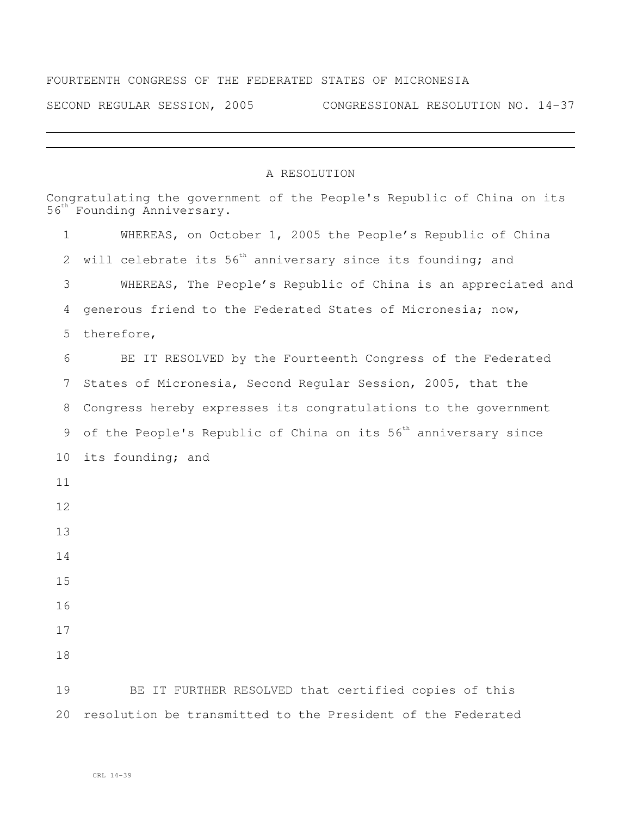## FOURTEENTH CONGRESS OF THE FEDERATED STATES OF MICRONESIA

SECOND REGULAR SESSION, 2005 CONGRESSIONAL RESOLUTION NO. 14-37

## A RESOLUTION

|              | Congratulating the government of the People's Republic of China on its<br>56 <sup>th</sup> Founding Anniversary. |  |  |
|--------------|------------------------------------------------------------------------------------------------------------------|--|--|
| $\mathbf{1}$ | WHEREAS, on October 1, 2005 the People's Republic of China                                                       |  |  |
| 2            | will celebrate its 56 <sup>th</sup> anniversary since its founding; and                                          |  |  |
| 3            | WHEREAS, The People's Republic of China is an appreciated and                                                    |  |  |
| 4            | generous friend to the Federated States of Micronesia; now,                                                      |  |  |
| 5            | therefore,                                                                                                       |  |  |
| 6            | BE IT RESOLVED by the Fourteenth Congress of the Federated                                                       |  |  |
| 7            | States of Micronesia, Second Regular Session, 2005, that the                                                     |  |  |
| 8            | Congress hereby expresses its congratulations to the government                                                  |  |  |
| 9            | of the People's Republic of China on its 56 <sup>th</sup> anniversary since                                      |  |  |
| 10           | its founding; and                                                                                                |  |  |
| 11           |                                                                                                                  |  |  |
| 12           |                                                                                                                  |  |  |
| 13           |                                                                                                                  |  |  |
| 14           |                                                                                                                  |  |  |
| 15           |                                                                                                                  |  |  |
| 16           |                                                                                                                  |  |  |
| 17           |                                                                                                                  |  |  |
| 18           |                                                                                                                  |  |  |
| 19           | BE IT FURTHER RESOLVED that certified copies of this                                                             |  |  |
| 20           | resolution be transmitted to the President of the Federated                                                      |  |  |